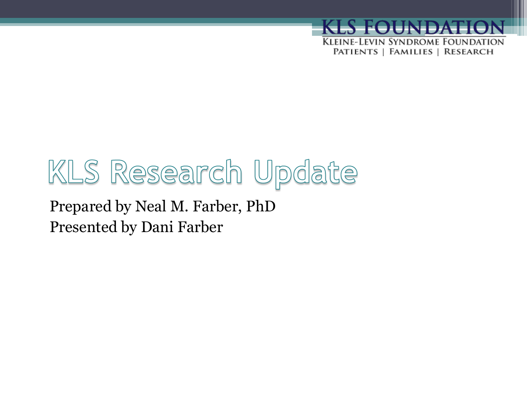

# KLS Research Update

Prepared by Neal M. Farber, PhD Presented by Dani Farber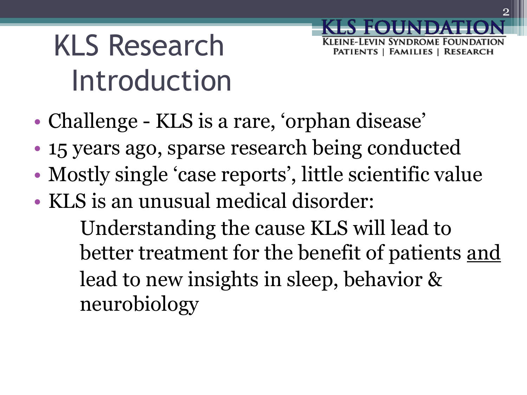# KLS Research Introduction

- Challenge KLS is a rare, 'orphan disease'
- 15 years ago, sparse research being conducted
- Mostly single 'case reports', little scientific value
- KLS is an unusual medical disorder:

Understanding the cause KLS will lead to better treatment for the benefit of patients <u>and</u> lead to new insights in sleep, behavior & neurobiology

**SYNDROME FOUNDATION**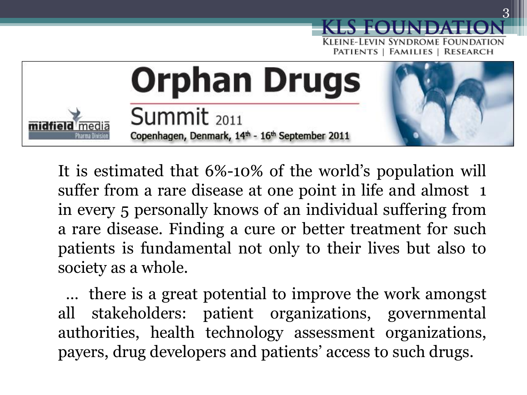

It is estimated that 6%-10% of the world's population will suffer from a rare disease at one point in life and almost 1 in every 5 personally knows of an individual suffering from a rare disease. Finding a cure or better treatment for such patients is fundamental not only to their lives but also to society as a whole.

 … there is a great potential to improve the work amongst all stakeholders: patient organizations, governmental authorities, health technology assessment organizations, payers, drug developers and patients' access to such drugs.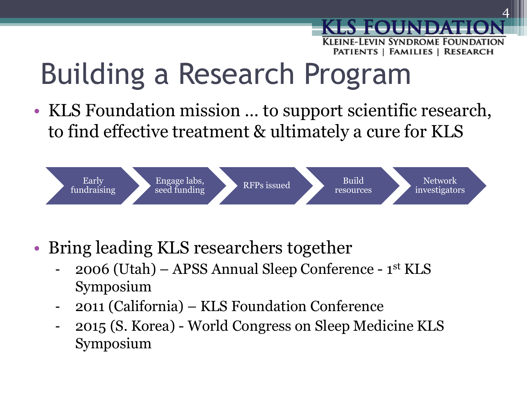# Building a Research Program

• KLS Foundation mission … to support scientific research, to find effective treatment & ultimately a cure for KLS



- Bring leading KLS researchers together
	- 2006 (Utah) APSS Annual Sleep Conference 1st KLS Symposium
	- 2011 (California) KLS Foundation Conference
	- 2015 (S. Korea) World Congress on Sleep Medicine KLS Symposium

Kleine-Levin Syndrome Foundation PATIENTS | FAMILIES | RESEARCH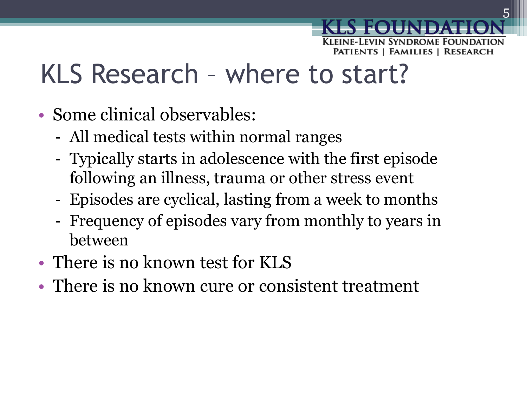## KLS Research – where to start?

- Some clinical observables:
	- All medical tests within normal ranges
	- Typically starts in adolescence with the first episode following an illness, trauma or other stress event
	- Episodes are cyclical, lasting from a week to months
	- Frequency of episodes vary from monthly to years in between
- There is no known test for KLS
- There is no known cure or consistent treatment

SYNDROME FOU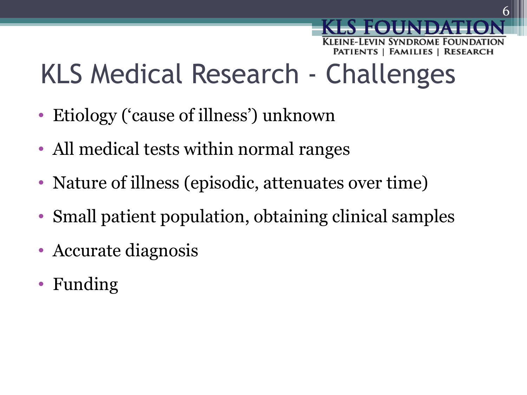# KLS Medical Research - Challenges

- Etiology ('cause of illness') unknown
- All medical tests within normal ranges
- Nature of illness (episodic, attenuates over time)
- Small patient population, obtaining clinical samples
- Accurate diagnosis
- Funding

VIN SYNDROME FOUNDATION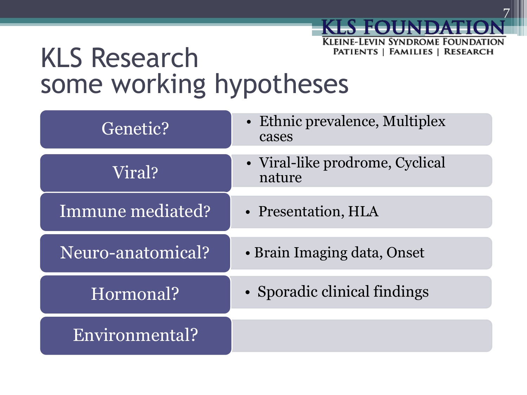#### **KLEINE-LEVIN SYNDROME FOUNDATION** KLS Research PATIENTS | FAMILIES | RESEARCH some working hypotheses

| Genetic?          | • Ethnic prevalence, Multiplex<br>cases   |
|-------------------|-------------------------------------------|
| Viral?            | • Viral-like prodrome, Cyclical<br>nature |
| Immune mediated?  | • Presentation, HLA                       |
| Neuro-anatomical? | • Brain Imaging data, Onset               |
| Hormonal?         | • Sporadic clinical findings              |
| Environmental?    |                                           |

S FOUNDAT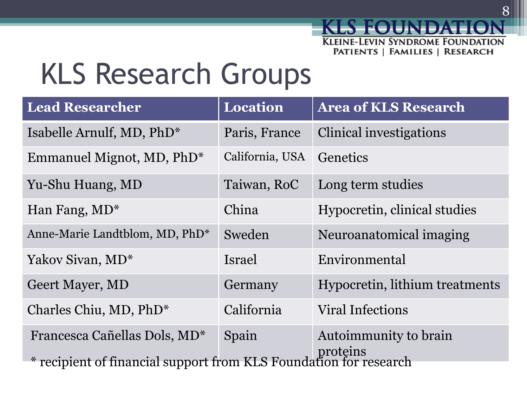# KLS Research Groups

| <b>Lead Researcher</b>                                                        | Location        | <b>Area of KLS Research</b>    |  |  |
|-------------------------------------------------------------------------------|-----------------|--------------------------------|--|--|
| Isabelle Arnulf, MD, PhD*                                                     | Paris, France   | <b>Clinical investigations</b> |  |  |
| Emmanuel Mignot, MD, PhD*                                                     | California, USA | Genetics                       |  |  |
| Yu-Shu Huang, MD                                                              | Taiwan, RoC     | Long term studies              |  |  |
| Han Fang, MD <sup>*</sup>                                                     | China           | Hypocretin, clinical studies   |  |  |
| Anne-Marie Landtblom, MD, PhD*                                                | Sweden          | Neuroanatomical imaging        |  |  |
| Yakov Sivan, MD <sup>*</sup>                                                  | Israel          | Environmental                  |  |  |
| <b>Geert Mayer, MD</b>                                                        | Germany         | Hypocretin, lithium treatments |  |  |
| Charles Chiu, MD, PhD*                                                        | California      | <b>Viral Infections</b>        |  |  |
| Francesca Cañellas Dols, MD <sup>*</sup>                                      | Spain           | Autoimmunity to brain          |  |  |
| proteins<br>* recipient of financial support from KLS Foundation for research |                 |                                |  |  |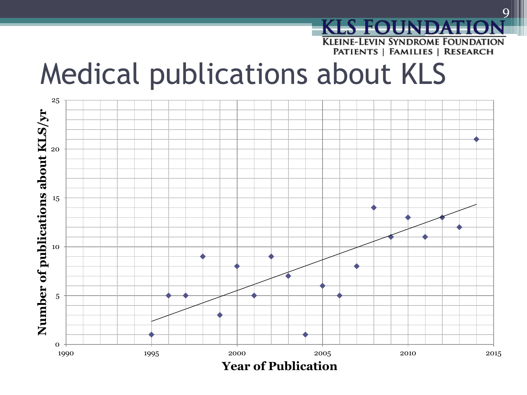

### Medical publications about KLS

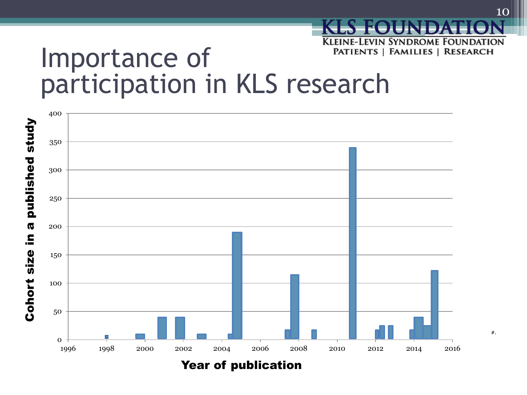#### **KLEINE-LEVIN SYNDROME FOUNDATION** PATIENTS | FAMILIES | RESEARCH Importance of participation in KLS research



#…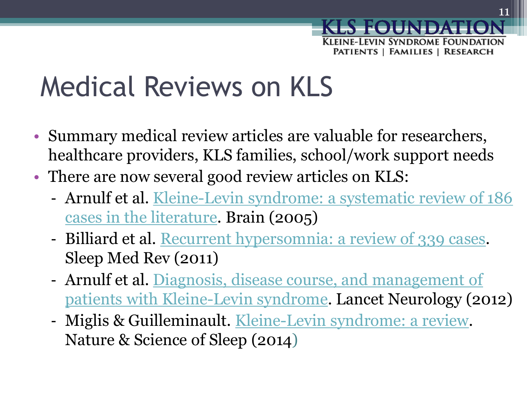

## Medical Reviews on KLS

- Summary medical review articles are valuable for researchers, healthcare providers, KLS families, school/work support needs
- There are now several good review articles on KLS:
	- Arnulf et al. [Kleine-Levin syndrome: a systematic review of 186](http://www.ncbi.nlm.nih.gov/pubmed/16230322)  [cases in the literature.](http://www.ncbi.nlm.nih.gov/pubmed/16230322) Brain (2005)
	- Billiard et al. [Recurrent hypersomnia: a review of 339 cases.](http://www.ncbi.nlm.nih.gov/pubmed/20970360) Sleep Med Rev (2011)
	- Arnulf et al. [Diagnosis, disease course, and management of](http://www.ncbi.nlm.nih.gov/pubmed/22995695)  [patients with Kleine-Levin syndrome.](http://www.ncbi.nlm.nih.gov/pubmed/22995695) Lancet Neurology (2012)
	- Miglis & Guilleminault. [Kleine-Levin syndrome: a review.](http://www.ncbi.nlm.nih.gov/pmc/articles/PMC3901778/) Nature & Science of Sleep (2014)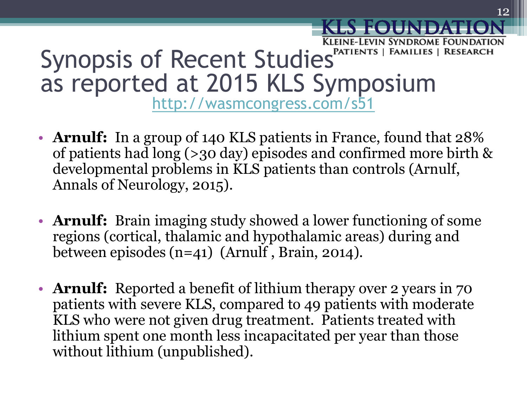### Kleine-Levin Syndrome Foundation Synopsis of Recent Studies<sup>PATIENTS | FAMILIES | RESEARCH</sup> as reported at 2015 KLS Symposium

<http://wasmcongress.com/s51>

- **Arnulf:** In a group of 140 KLS patients in France, found that 28% of patients had long (>30 day) episodes and confirmed more birth & developmental problems in KLS patients than controls (Arnulf, Annals of Neurology, 2015).
- **Arnulf:** Brain imaging study showed a lower functioning of some regions (cortical, thalamic and hypothalamic areas) during and between episodes (n=41) (Arnulf , Brain, 2014).
- **Arnulf:** Reported a benefit of lithium therapy over 2 years in 70 patients with severe KLS, compared to 49 patients with moderate KLS who were not given drug treatment. Patients treated with lithium spent one month less incapacitated per year than those without lithium (unpublished).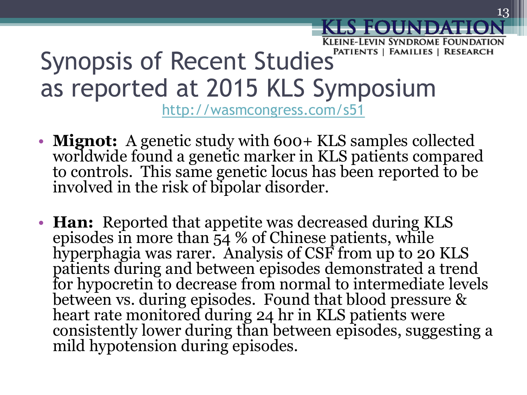### Synopsis of Recent Studies<sup>PATIENTS | FAMILIES | RESEARCH</sup> as reported at 2015 KLS Symposium

<http://wasmcongress.com/s51>

- **Mignot:** A genetic study with 600+ KLS samples collected worldwide found a genetic marker in KLS patients compared to controls. This same genetic locus has been reported to be involved in the risk of bipolar disorder.
- **Han:** Reported that appetite was decreased during KLS episodes in more than  $\frac{1}{54}$  % of Chinese patients, while hyperphagia was rarer. Analysis of CSF from up to 20 KLS patients during and between episodes demonstrated a trend for hypocretin to decrease from normal to intermediate levels between vs. during episodes. Found that blood pressure & heart rate monitored during 24 hr in KLS patients were consistently lower during than between episodes, suggesting a mild hypotension during episodes.

Kleine-Levin Syndrome Foundation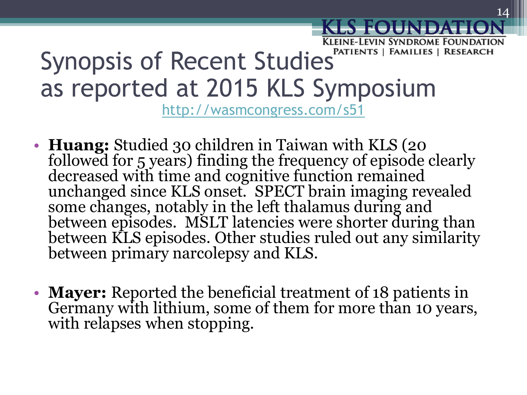### Synopsis of Recent Studies<sup>PATIENTS | FAMILIES | RESEARCH</sup> as reported at 2015 KLS Symposium

<http://wasmcongress.com/s51>

- **Huang:** Studied 30 children in Taiwan with KLS (20 followed for 5 years) finding the frequency of episode clearly decreased with time and cognitive function remained unchanged since KLS onset. SPECT brain imaging revealed some changes, notably in the left thalamus during and between episodes. MSLT latencies were shorter during than between KLS episodes. Other studies ruled out any similarity between primary narcolepsy and KLS.
- **Mayer:** Reported the beneficial treatment of 18 patients in Germany with lithium, some of them for more than 10 years, with relapses when stopping.

Kleine-Levin Syndrome Foundation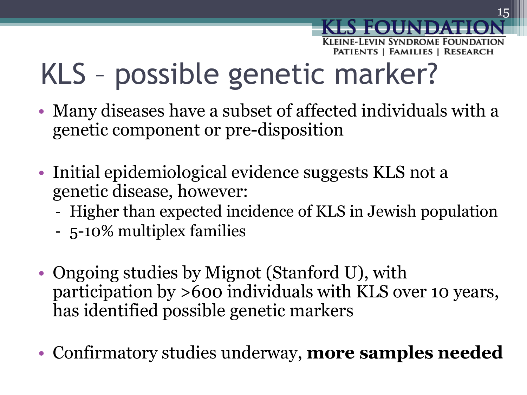# KLS – possible genetic marker?

- Many diseases have a subset of affected individuals with a genetic component or pre-disposition
- Initial epidemiological evidence suggests KLS not a genetic disease, however:
	- Higher than expected incidence of KLS in Jewish population
	- 5-10% multiplex families
- Ongoing studies by Mignot (Stanford U), with participation by >600 individuals with KLS over 10 years, has identified possible genetic markers
- Confirmatory studies underway, **more samples needed**

SYNDROME FOU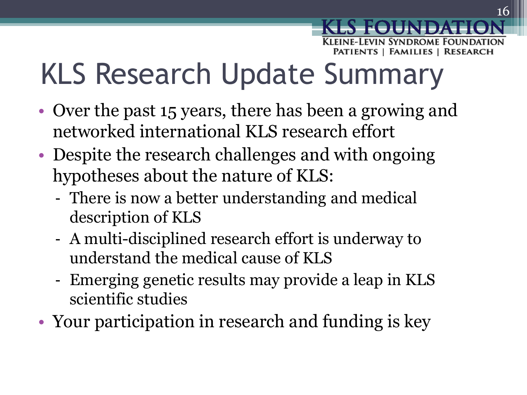# KLS Research Update Summary

- Over the past 15 years, there has been a growing and networked international KLS research effort
- Despite the research challenges and with ongoing hypotheses about the nature of KLS:
	- There is now a better understanding and medical description of KLS
	- A multi-disciplined research effort is underway to understand the medical cause of KLS
	- Emerging genetic results may provide a leap in KLS scientific studies
- Your participation in research and funding is key

vin Syndrome Foundat